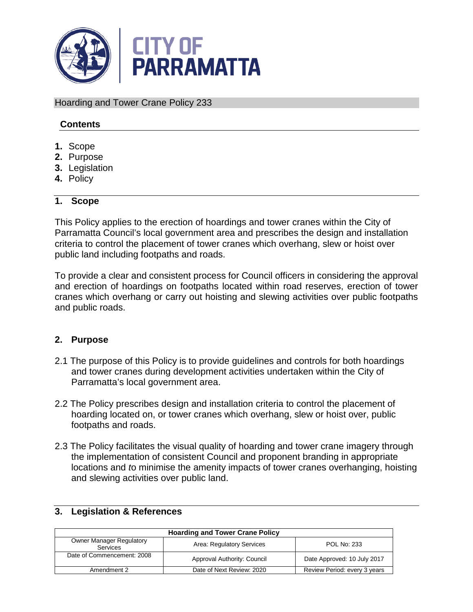

Hoarding and Tower Crane Policy 233

### **Contents**

- **1.** Scope
- **2.** Purpose
- **3.** Legislation
- **4.** Policy

### **1. Scope**

This Policy applies to the erection of hoardings and tower cranes within the City of Parramatta Council's local government area and prescribes the design and installation criteria to control the placement of tower cranes which overhang, slew or hoist over public land including footpaths and roads.

To provide a clear and consistent process for Council officers in considering the approval and erection of hoardings on footpaths located within road reserves, erection of tower cranes which overhang or carry out hoisting and slewing activities over public footpaths and public roads.

### **2. Purpose**

- 2.1 The purpose of this Policy is to provide guidelines and controls for both hoardings and tower cranes during development activities undertaken within the City of Parramatta's local government area.
- 2.2 The Policy prescribes design and installation criteria to control the placement of hoarding located on, or tower cranes which overhang, slew or hoist over, public footpaths and roads.
- 2.3 The Policy facilitates the visual quality of hoarding and tower crane imagery through the implementation of consistent Council and proponent branding in appropriate locations and *t*o minimise the amenity impacts of tower cranes overhanging, hoisting and slewing activities over public land.

| <b>Hoarding and Tower Crane Policy</b>             |                             |                              |
|----------------------------------------------------|-----------------------------|------------------------------|
| <b>Owner Manager Regulatory</b><br><b>Services</b> | Area: Regulatory Services   | POL No: 233                  |
| Date of Commencement: 2008                         | Approval Authority: Council | Date Approved: 10 July 2017  |
| Amendment 2                                        | Date of Next Review: 2020   | Review Period: every 3 years |

#### **3. Legislation & References**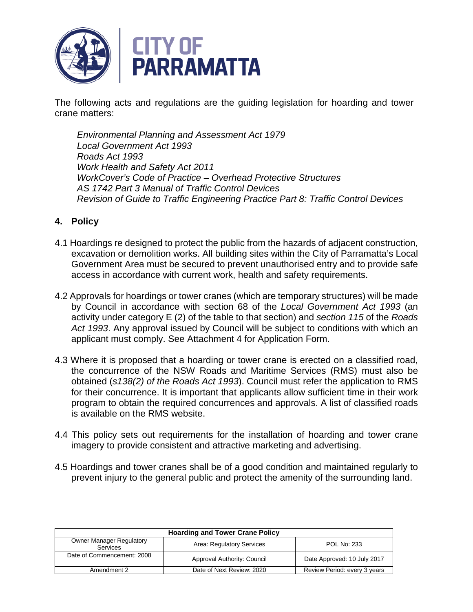

The following acts and regulations are the guiding legislation for hoarding and tower crane matters:

*Environmental Planning and Assessment Act 1979 Local Government Act 1993 Roads Act 1993 Work Health and Safety Act 2011 WorkCover's Code of Practice – Overhead Protective Structures AS 1742 Part 3 Manual of Traffic Control Devices Revision of Guide to Traffic Engineering Practice Part 8: Traffic Control Devices*

### **4. Policy**

- 4.1 Hoardings re designed to protect the public from the hazards of adjacent construction, excavation or demolition works. All building sites within the City of Parramatta's Local Government Area must be secured to prevent unauthorised entry and to provide safe access in accordance with current work, health and safety requirements.
- 4.2 Approvals for hoardings or tower cranes (which are temporary structures) will be made by Council in accordance with section 68 of the *Local Government Act 1993* (an activity under category E (2) of the table to that section) and *section 115* of the *Roads Act 1993*. Any approval issued by Council will be subject to conditions with which an applicant must comply. See Attachment 4 for Application Form.
- 4.3 Where it is proposed that a hoarding or tower crane is erected on a classified road, the concurrence of the NSW Roads and Maritime Services (RMS) must also be obtained (*s138(2) of the Roads Act 1993*). Council must refer the application to RMS for their concurrence. It is important that applicants allow sufficient time in their work program to obtain the required concurrences and approvals. A list of classified roads is available on the RMS website.
- 4.4 This policy sets out requirements for the installation of hoarding and tower crane imagery to provide consistent and attractive marketing and advertising.
- 4.5 Hoardings and tower cranes shall be of a good condition and maintained regularly to prevent injury to the general public and protect the amenity of the surrounding land.

| <b>Hoarding and Tower Crane Policy</b>             |                             |                              |
|----------------------------------------------------|-----------------------------|------------------------------|
| <b>Owner Manager Regulatory</b><br><b>Services</b> | Area: Regulatory Services   | <b>POL No: 233</b>           |
| Date of Commencement: 2008                         | Approval Authority: Council | Date Approved: 10 July 2017  |
| Amendment 2                                        | Date of Next Review: 2020   | Review Period: every 3 years |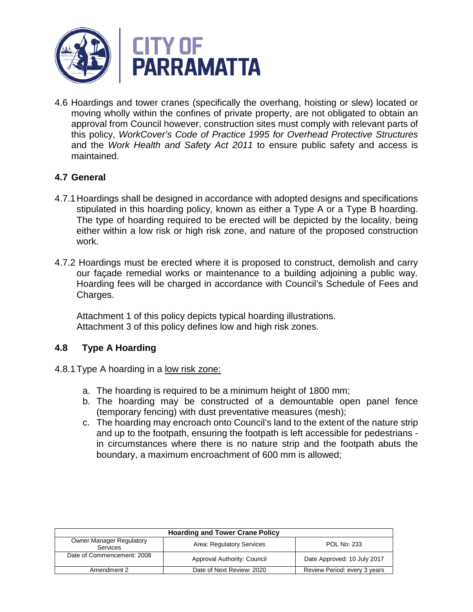

4.6 Hoardings and tower cranes (specifically the overhang, hoisting or slew) located or moving wholly within the confines of private property, are not obligated to obtain an approval from Council however, construction sites must comply with relevant parts of this policy, *WorkCover's Code of Practice 1995 for Overhead Protective Structures* and the *Work Health and Safety Act 2011* to ensure public safety and access is maintained.

### **4.7 General**

- 4.7.1Hoardings shall be designed in accordance with adopted designs and specifications stipulated in this hoarding policy, known as either a Type A or a Type B hoarding. The type of hoarding required to be erected will be depicted by the locality, being either within a low risk or high risk zone, and nature of the proposed construction work.
- 4.7.2 Hoardings must be erected where it is proposed to construct, demolish and carry our façade remedial works or maintenance to a building adjoining a public way. Hoarding fees will be charged in accordance with Council's Schedule of Fees and Charges.

Attachment 1 of this policy depicts typical hoarding illustrations. Attachment 3 of this policy defines low and high risk zones.

### **4.8 Type A Hoarding**

- 4.8.1 Type A hoarding in a low risk zone:
	- a. The hoarding is required to be a minimum height of 1800 mm;
	- b. The hoarding may be constructed of a demountable open panel fence (temporary fencing) with dust preventative measures (mesh);
	- c. The hoarding may encroach onto Council's land to the extent of the nature strip and up to the footpath, ensuring the footpath is left accessible for pedestrians in circumstances where there is no nature strip and the footpath abuts the boundary, a maximum encroachment of 600 mm is allowed;

| <b>Hoarding and Tower Crane Policy</b>      |                             |                              |
|---------------------------------------------|-----------------------------|------------------------------|
| <b>Owner Manager Regulatory</b><br>Services | Area: Regulatory Services   | <b>POL No: 233</b>           |
| Date of Commencement: 2008                  | Approval Authority: Council | Date Approved: 10 July 2017  |
| Amendment 2                                 | Date of Next Review: 2020   | Review Period: every 3 years |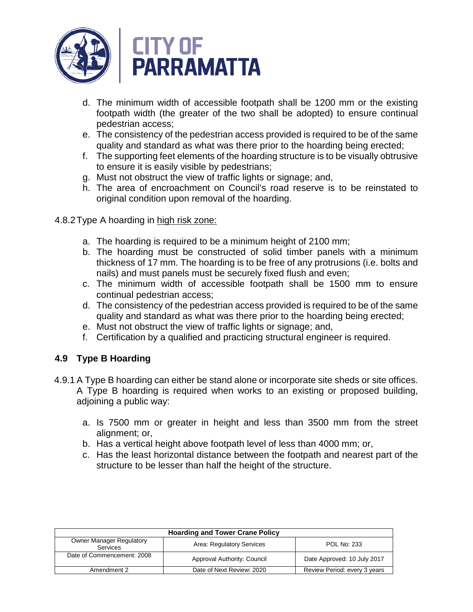

- d. The minimum width of accessible footpath shall be 1200 mm or the existing footpath width (the greater of the two shall be adopted) to ensure continual pedestrian access;
- e. The consistency of the pedestrian access provided is required to be of the same quality and standard as what was there prior to the hoarding being erected;
- f. The supporting feet elements of the hoarding structure is to be visually obtrusive to ensure it is easily visible by pedestrians;
- g. Must not obstruct the view of traffic lights or signage; and,
- h. The area of encroachment on Council's road reserve is to be reinstated to original condition upon removal of the hoarding.
- 4.8.2 Type A hoarding in high risk zone:
	- a. The hoarding is required to be a minimum height of 2100 mm;
	- b. The hoarding must be constructed of solid timber panels with a minimum thickness of 17 mm. The hoarding is to be free of any protrusions (i.e. bolts and nails) and must panels must be securely fixed flush and even;
	- c. The minimum width of accessible footpath shall be 1500 mm to ensure continual pedestrian access;
	- d. The consistency of the pedestrian access provided is required to be of the same quality and standard as what was there prior to the hoarding being erected;
	- e. Must not obstruct the view of traffic lights or signage; and,
	- f. Certification by a qualified and practicing structural engineer is required.

### **4.9 Type B Hoarding**

- 4.9.1 A Type B hoarding can either be stand alone or incorporate site sheds or site offices. A Type B hoarding is required when works to an existing or proposed building, adjoining a public way:
	- a. Is 7500 mm or greater in height and less than 3500 mm from the street alignment; or,
	- b. Has a vertical height above footpath level of less than 4000 mm; or,
	- c. Has the least horizontal distance between the footpath and nearest part of the structure to be lesser than half the height of the structure.

| <b>Hoarding and Tower Crane Policy</b>      |                             |                              |
|---------------------------------------------|-----------------------------|------------------------------|
| <b>Owner Manager Regulatory</b><br>Services | Area: Regulatory Services   | POL No: 233                  |
| Date of Commencement: 2008                  | Approval Authority: Council | Date Approved: 10 July 2017  |
| Amendment 2                                 | Date of Next Review: 2020   | Review Period: every 3 years |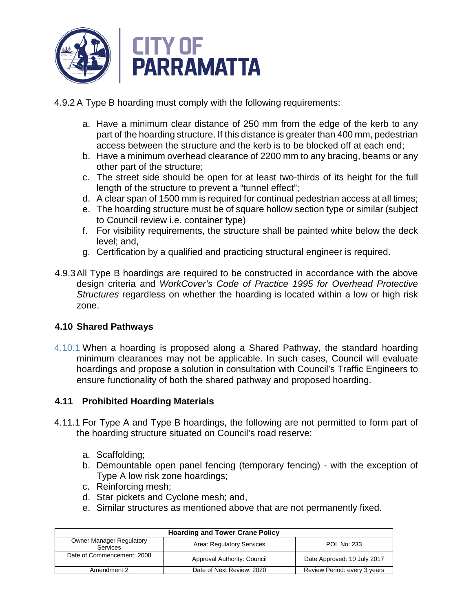

4.9.2 A Type B hoarding must comply with the following requirements:

- a. Have a minimum clear distance of 250 mm from the edge of the kerb to any part of the hoarding structure. If this distance is greater than 400 mm, pedestrian access between the structure and the kerb is to be blocked off at each end;
- b. Have a minimum overhead clearance of 2200 mm to any bracing, beams or any other part of the structure;
- c. The street side should be open for at least two-thirds of its height for the full length of the structure to prevent a "tunnel effect";
- d. A clear span of 1500 mm is required for continual pedestrian access at all times;
- e. The hoarding structure must be of square hollow section type or similar (subject to Council review i.e. container type)
- f. For visibility requirements, the structure shall be painted white below the deck level; and,
- g. Certification by a qualified and practicing structural engineer is required.
- 4.9.3All Type B hoardings are required to be constructed in accordance with the above design criteria and *WorkCover's Code of Practice 1995 for Overhead Protective Structures* regardless on whether the hoarding is located within a low or high risk zone.

### **4.10 Shared Pathways**

4.10.1 When a hoarding is proposed along a Shared Pathway, the standard hoarding minimum clearances may not be applicable. In such cases, Council will evaluate hoardings and propose a solution in consultation with Council's Traffic Engineers to ensure functionality of both the shared pathway and proposed hoarding.

### **4.11 Prohibited Hoarding Materials**

- 4.11.1 For Type A and Type B hoardings, the following are not permitted to form part of the hoarding structure situated on Council's road reserve:
	- a. Scaffolding;
	- b. Demountable open panel fencing (temporary fencing) with the exception of Type A low risk zone hoardings;
	- c. Reinforcing mesh;
	- d. Star pickets and Cyclone mesh; and,
	- e. Similar structures as mentioned above that are not permanently fixed.

| <b>Hoarding and Tower Crane Policy</b>      |                             |                              |
|---------------------------------------------|-----------------------------|------------------------------|
| <b>Owner Manager Regulatory</b><br>Services | Area: Regulatory Services   | <b>POL No: 233</b>           |
| Date of Commencement: 2008                  | Approval Authority: Council | Date Approved: 10 July 2017  |
| Amendment 2                                 | Date of Next Review: 2020   | Review Period: every 3 years |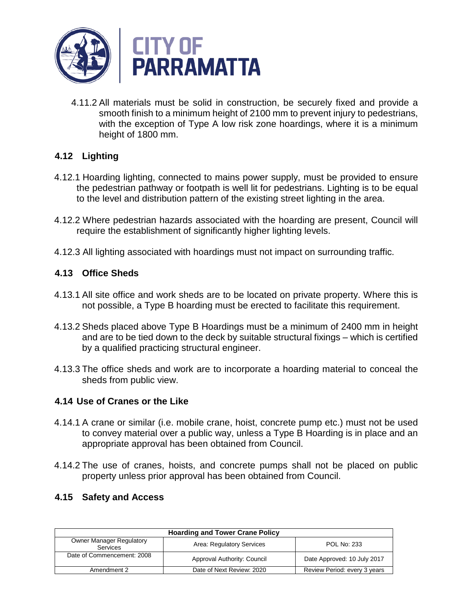

4.11.2 All materials must be solid in construction, be securely fixed and provide a smooth finish to a minimum height of 2100 mm to prevent injury to pedestrians, with the exception of Type A low risk zone hoardings, where it is a minimum height of 1800 mm.

# **4.12 Lighting**

- 4.12.1 Hoarding lighting, connected to mains power supply, must be provided to ensure the pedestrian pathway or footpath is well lit for pedestrians. Lighting is to be equal to the level and distribution pattern of the existing street lighting in the area.
- 4.12.2 Where pedestrian hazards associated with the hoarding are present, Council will require the establishment of significantly higher lighting levels.
- 4.12.3 All lighting associated with hoardings must not impact on surrounding traffic.

# **4.13 Office Sheds**

- 4.13.1 All site office and work sheds are to be located on private property. Where this is not possible, a Type B hoarding must be erected to facilitate this requirement.
- 4.13.2 Sheds placed above Type B Hoardings must be a minimum of 2400 mm in height and are to be tied down to the deck by suitable structural fixings – which is certified by a qualified practicing structural engineer.
- 4.13.3 The office sheds and work are to incorporate a hoarding material to conceal the sheds from public view.

### **4.14 Use of Cranes or the Like**

- 4.14.1 A crane or similar (i.e. mobile crane, hoist, concrete pump etc.) must not be used to convey material over a public way, unless a Type B Hoarding is in place and an appropriate approval has been obtained from Council.
- 4.14.2 The use of cranes, hoists, and concrete pumps shall not be placed on public property unless prior approval has been obtained from Council.

### **4.15 Safety and Access**

| <b>Hoarding and Tower Crane Policy</b>      |                             |                              |
|---------------------------------------------|-----------------------------|------------------------------|
| <b>Owner Manager Regulatory</b><br>Services | Area: Regulatory Services   | <b>POL No: 233</b>           |
| Date of Commencement: 2008                  | Approval Authority: Council | Date Approved: 10 July 2017  |
| Amendment 2                                 | Date of Next Review: 2020   | Review Period: every 3 years |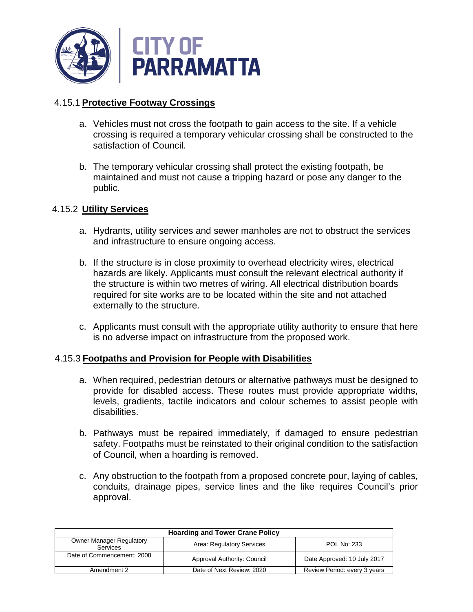

### 4.15.1 **Protective Footway Crossings**

- a. Vehicles must not cross the footpath to gain access to the site. If a vehicle crossing is required a temporary vehicular crossing shall be constructed to the satisfaction of Council.
- b. The temporary vehicular crossing shall protect the existing footpath, be maintained and must not cause a tripping hazard or pose any danger to the public.

### 4.15.2 **Utility Services**

- a. Hydrants, utility services and sewer manholes are not to obstruct the services and infrastructure to ensure ongoing access.
- b. If the structure is in close proximity to overhead electricity wires, electrical hazards are likely. Applicants must consult the relevant electrical authority if the structure is within two metres of wiring. All electrical distribution boards required for site works are to be located within the site and not attached externally to the structure.
- c. Applicants must consult with the appropriate utility authority to ensure that here is no adverse impact on infrastructure from the proposed work.

### 4.15.3 **Footpaths and Provision for People with Disabilities**

- a. When required, pedestrian detours or alternative pathways must be designed to provide for disabled access. These routes must provide appropriate widths, levels, gradients, tactile indicators and colour schemes to assist people with disabilities.
- b. Pathways must be repaired immediately, if damaged to ensure pedestrian safety. Footpaths must be reinstated to their original condition to the satisfaction of Council, when a hoarding is removed.
- c. Any obstruction to the footpath from a proposed concrete pour, laying of cables, conduits, drainage pipes, service lines and the like requires Council's prior approval.

| <b>Hoarding and Tower Crane Policy</b>      |                             |                              |
|---------------------------------------------|-----------------------------|------------------------------|
| <b>Owner Manager Regulatory</b><br>Services | Area: Regulatory Services   | POL No: 233                  |
| Date of Commencement: 2008                  | Approval Authority: Council | Date Approved: 10 July 2017  |
| Amendment 2                                 | Date of Next Review: 2020   | Review Period: every 3 years |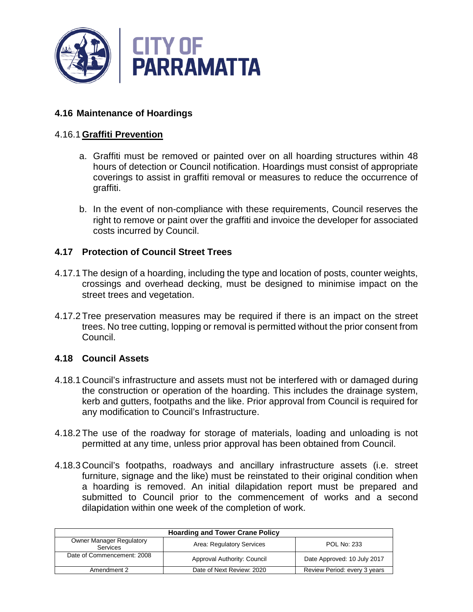

### **4.16 Maintenance of Hoardings**

#### 4.16.1 **Graffiti Prevention**

- a. Graffiti must be removed or painted over on all hoarding structures within 48 hours of detection or Council notification. Hoardings must consist of appropriate coverings to assist in graffiti removal or measures to reduce the occurrence of graffiti.
- b. In the event of non-compliance with these requirements, Council reserves the right to remove or paint over the graffiti and invoice the developer for associated costs incurred by Council.

### **4.17 Protection of Council Street Trees**

- 4.17.1 The design of a hoarding, including the type and location of posts, counter weights, crossings and overhead decking, must be designed to minimise impact on the street trees and vegetation.
- 4.17.2 Tree preservation measures may be required if there is an impact on the street trees. No tree cutting, lopping or removal is permitted without the prior consent from Council.

#### **4.18 Council Assets**

- 4.18.1 Council's infrastructure and assets must not be interfered with or damaged during the construction or operation of the hoarding. This includes the drainage system, kerb and gutters, footpaths and the like. Prior approval from Council is required for any modification to Council's Infrastructure.
- 4.18.2 The use of the roadway for storage of materials, loading and unloading is not permitted at any time, unless prior approval has been obtained from Council.
- 4.18.3 Council's footpaths, roadways and ancillary infrastructure assets (i.e. street furniture, signage and the like) must be reinstated to their original condition when a hoarding is removed. An initial dilapidation report must be prepared and submitted to Council prior to the commencement of works and a second dilapidation within one week of the completion of work.

| <b>Hoarding and Tower Crane Policy</b>      |                             |                              |
|---------------------------------------------|-----------------------------|------------------------------|
| <b>Owner Manager Regulatory</b><br>Services | Area: Regulatory Services   | POL No: 233                  |
| Date of Commencement: 2008                  | Approval Authority: Council | Date Approved: 10 July 2017  |
| Amendment 2                                 | Date of Next Review: 2020   | Review Period: every 3 years |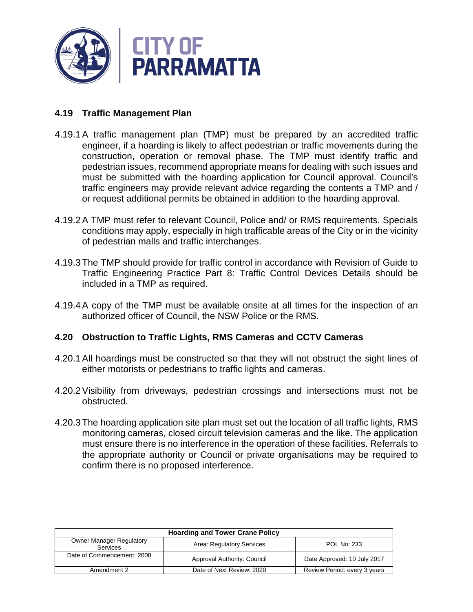

### **4.19 Traffic Management Plan**

- 4.19.1A traffic management plan (TMP) must be prepared by an accredited traffic engineer, if a hoarding is likely to affect pedestrian or traffic movements during the construction, operation or removal phase. The TMP must identify traffic and pedestrian issues, recommend appropriate means for dealing with such issues and must be submitted with the hoarding application for Council approval. Council's traffic engineers may provide relevant advice regarding the contents a TMP and / or request additional permits be obtained in addition to the hoarding approval.
- 4.19.2A TMP must refer to relevant Council, Police and/ or RMS requirements. Specials conditions may apply, especially in high trafficable areas of the City or in the vicinity of pedestrian malls and traffic interchanges.
- 4.19.3 The TMP should provide for traffic control in accordance with Revision of Guide to Traffic Engineering Practice Part 8: Traffic Control Devices Details should be included in a TMP as required.
- 4.19.4A copy of the TMP must be available onsite at all times for the inspection of an authorized officer of Council, the NSW Police or the RMS.

### **4.20 Obstruction to Traffic Lights, RMS Cameras and CCTV Cameras**

- 4.20.1All hoardings must be constructed so that they will not obstruct the sight lines of either motorists or pedestrians to traffic lights and cameras.
- 4.20.2Visibility from driveways, pedestrian crossings and intersections must not be obstructed.
- 4.20.3 The hoarding application site plan must set out the location of all traffic lights, RMS monitoring cameras, closed circuit television cameras and the like. The application must ensure there is no interference in the operation of these facilities. Referrals to the appropriate authority or Council or private organisations may be required to confirm there is no proposed interference.

| <b>Hoarding and Tower Crane Policy</b>             |                             |                              |
|----------------------------------------------------|-----------------------------|------------------------------|
| <b>Owner Manager Regulatory</b><br><b>Services</b> | Area: Regulatory Services   | <b>POL No: 233</b>           |
| Date of Commencement: 2008                         | Approval Authority: Council | Date Approved: 10 July 2017  |
| Amendment 2                                        | Date of Next Review: 2020   | Review Period: every 3 years |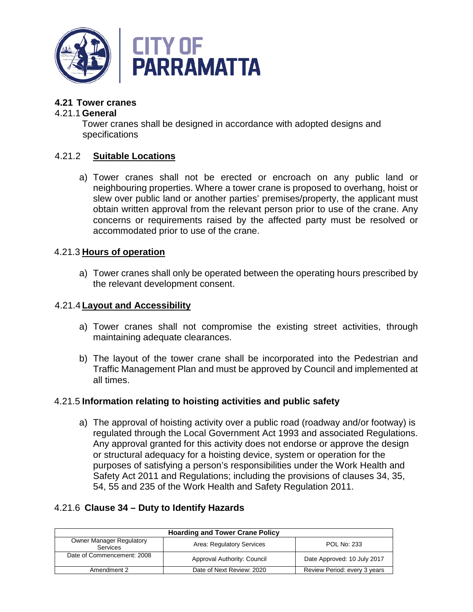

### **4.21 Tower cranes**

#### 4.21.1 **General**

Tower cranes shall be designed in accordance with adopted designs and specifications

### 4.21.2 **Suitable Locations**

a) Tower cranes shall not be erected or encroach on any public land or neighbouring properties. Where a tower crane is proposed to overhang, hoist or slew over public land or another parties' premises/property, the applicant must obtain written approval from the relevant person prior to use of the crane. Any concerns or requirements raised by the affected party must be resolved or accommodated prior to use of the crane.

### 4.21.3 **Hours of operation**

a) Tower cranes shall only be operated between the operating hours prescribed by the relevant development consent.

### 4.21.4 **Layout and Accessibility**

- a) Tower cranes shall not compromise the existing street activities, through maintaining adequate clearances.
- b) The layout of the tower crane shall be incorporated into the Pedestrian and Traffic Management Plan and must be approved by Council and implemented at all times.

### 4.21.5 **Information relating to hoisting activities and public safety**

a) The approval of hoisting activity over a public road (roadway and/or footway) is regulated through the Local Government Act 1993 and associated Regulations. Any approval granted for this activity does not endorse or approve the design or structural adequacy for a hoisting device, system or operation for the purposes of satisfying a person's responsibilities under the Work Health and Safety Act 2011 and Regulations; including the provisions of clauses 34, 35, 54, 55 and 235 of the Work Health and Safety Regulation 2011.

### 4.21.6 **Clause 34 – Duty to Identify Hazards**

| <b>Hoarding and Tower Crane Policy</b>             |                             |                              |
|----------------------------------------------------|-----------------------------|------------------------------|
| <b>Owner Manager Regulatory</b><br><b>Services</b> | Area: Regulatory Services   | <b>POL No: 233</b>           |
| Date of Commencement: 2008                         | Approval Authority: Council | Date Approved: 10 July 2017  |
| Amendment 2                                        | Date of Next Review: 2020   | Review Period: every 3 years |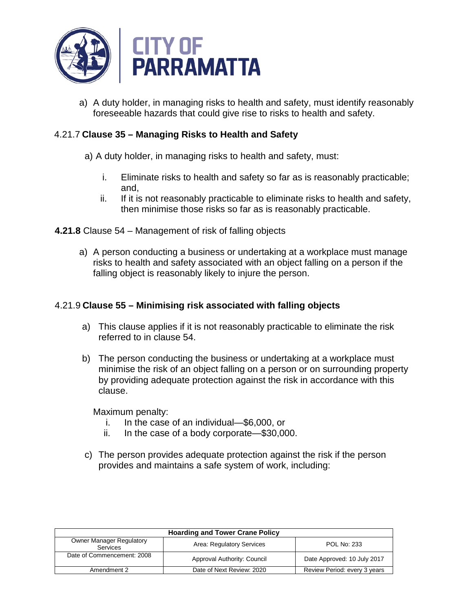

a) A duty holder, in managing risks to health and safety, must identify reasonably foreseeable hazards that could give rise to risks to health and safety.

### 4.21.7 **Clause 35 – Managing Risks to Health and Safety**

- a) A duty holder, in managing risks to health and safety, must:
	- i. Eliminate risks to health and safety so far as is reasonably practicable; and,
	- ii. If it is not reasonably practicable to eliminate risks to health and safety, then minimise those risks so far as is reasonably practicable.
- **4.21.8** Clause 54 Management of risk of falling objects
	- a) A person conducting a business or undertaking at a workplace must manage risks to health and safety associated with an object falling on a person if the falling object is reasonably likely to injure the person.

### 4.21.9 **Clause 55 – Minimising risk associated with falling objects**

- a) This clause applies if it is not reasonably practicable to eliminate the risk referred to in clause 54.
- b) The person conducting the business or undertaking at a workplace must minimise the risk of an object falling on a person or on surrounding property by providing adequate protection against the risk in accordance with this clause.

Maximum penalty:

- i. In the case of an individual—\$6,000, or
- ii. In the case of a body corporate—\$30,000.
- c) The person provides adequate protection against the risk if the person provides and maintains a safe system of work, including:

| <b>Hoarding and Tower Crane Policy</b>      |                             |                              |
|---------------------------------------------|-----------------------------|------------------------------|
| <b>Owner Manager Regulatory</b><br>Services | Area: Regulatory Services   | POL No: 233                  |
| Date of Commencement: 2008                  | Approval Authority: Council | Date Approved: 10 July 2017  |
| Amendment 2                                 | Date of Next Review: 2020   | Review Period: every 3 years |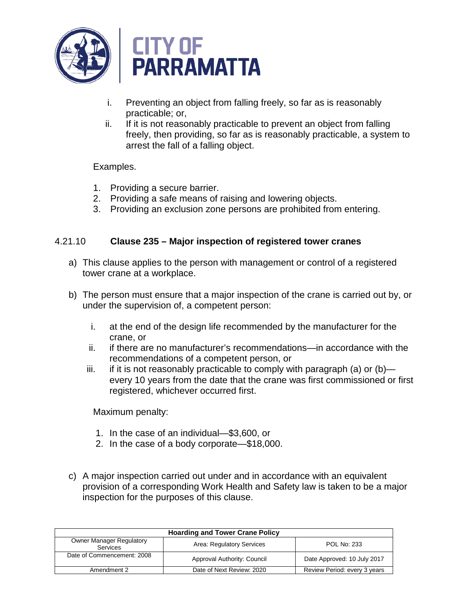

- i. Preventing an object from falling freely, so far as is reasonably practicable; or,
- ii. If it is not reasonably practicable to prevent an object from falling freely, then providing, so far as is reasonably practicable, a system to arrest the fall of a falling object.

### Examples.

- 1. Providing a secure barrier.
- 2. Providing a safe means of raising and lowering objects.
- 3. Providing an exclusion zone persons are prohibited from entering.

### 4.21.10 **Clause 235 – Major inspection of registered tower cranes**

- a) This clause applies to the person with management or control of a registered tower crane at a workplace.
- b) The person must ensure that a major inspection of the crane is carried out by, or under the supervision of, a competent person:
	- i. at the end of the design life recommended by the manufacturer for the crane, or
	- ii. if there are no manufacturer's recommendations—in accordance with the recommendations of a competent person, or
	- iii. if it is not reasonably practicable to comply with paragraph (a) or  $(b)$  every 10 years from the date that the crane was first commissioned or first registered, whichever occurred first.

Maximum penalty:

- 1. In the case of an individual—\$3,600, or
- 2. In the case of a body corporate—\$18,000.
- c) A major inspection carried out under and in accordance with an equivalent provision of a corresponding Work Health and Safety law is taken to be a major inspection for the purposes of this clause.

| <b>Hoarding and Tower Crane Policy</b>             |                             |                              |
|----------------------------------------------------|-----------------------------|------------------------------|
| <b>Owner Manager Regulatory</b><br><b>Services</b> | Area: Regulatory Services   | <b>POL No: 233</b>           |
| Date of Commencement: 2008                         | Approval Authority: Council | Date Approved: 10 July 2017  |
| Amendment 2                                        | Date of Next Review: 2020   | Review Period: every 3 years |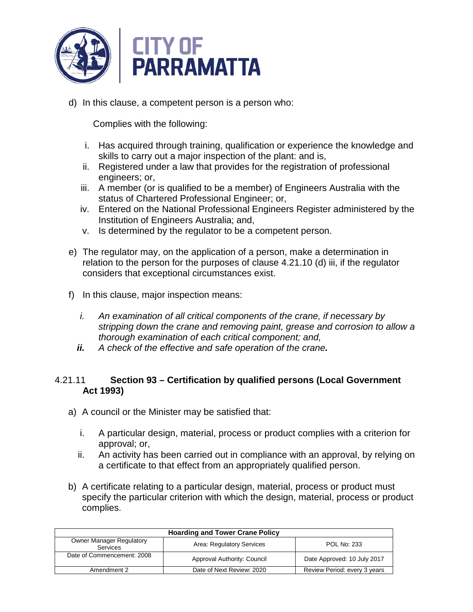

d) In this clause, a competent person is a person who:

Complies with the following:

- i. Has acquired through training, qualification or experience the knowledge and skills to carry out a major inspection of the plant: and is,
- ii. Registered under a law that provides for the registration of professional engineers; or,
- iii. A member (or is qualified to be a member) of Engineers Australia with the status of Chartered Professional Engineer; or,
- iv. Entered on the National Professional Engineers Register administered by the Institution of Engineers Australia; and,
- v. Is determined by the regulator to be a competent person.
- e) The regulator may, on the application of a person, make a determination in relation to the person for the purposes of clause 4.21.10 (d) iii, if the regulator considers that exceptional circumstances exist.
- f) In this clause, major inspection means:
	- *i. An examination of all critical components of the crane, if necessary by stripping down the crane and removing paint, grease and corrosion to allow a thorough examination of each critical component; and,*
	- *ii. A check of the effective and safe operation of the crane.*

### 4.21.11 **Section 93 – Certification by qualified persons (Local Government Act 1993)**

- a) A council or the Minister may be satisfied that:
	- i. A particular design, material, process or product complies with a criterion for approval; or,
	- ii. An activity has been carried out in compliance with an approval, by relying on a certificate to that effect from an appropriately qualified person.
- b) A certificate relating to a particular design, material, process or product must specify the particular criterion with which the design, material, process or product complies.

| <b>Hoarding and Tower Crane Policy</b>                                                         |                             |                              |  |
|------------------------------------------------------------------------------------------------|-----------------------------|------------------------------|--|
| <b>Owner Manager Regulatory</b><br>Area: Regulatory Services<br><b>POL No: 233</b><br>Services |                             |                              |  |
| Date of Commencement: 2008                                                                     | Approval Authority: Council | Date Approved: 10 July 2017  |  |
| Amendment 2                                                                                    | Date of Next Review: 2020   | Review Period: every 3 years |  |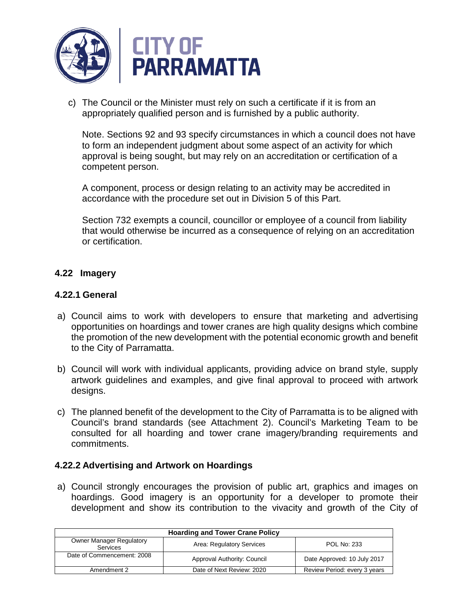

c) The Council or the Minister must rely on such a certificate if it is from an appropriately qualified person and is furnished by a public authority.

Note. Sections 92 and 93 specify circumstances in which a council does not have to form an independent judgment about some aspect of an activity for which approval is being sought, but may rely on an accreditation or certification of a competent person.

A component, process or design relating to an activity may be accredited in accordance with the procedure set out in Division 5 of this Part.

Section 732 exempts a council, councillor or employee of a council from liability that would otherwise be incurred as a consequence of relying on an accreditation or certification.

### **4.22 Imagery**

#### **4.22.1 General**

- a) Council aims to work with developers to ensure that marketing and advertising opportunities on hoardings and tower cranes are high quality designs which combine the promotion of the new development with the potential economic growth and benefit to the City of Parramatta.
- b) Council will work with individual applicants, providing advice on brand style, supply artwork guidelines and examples, and give final approval to proceed with artwork designs.
- c) The planned benefit of the development to the City of Parramatta is to be aligned with Council's brand standards (see Attachment 2). Council's Marketing Team to be consulted for all hoarding and tower crane imagery/branding requirements and commitments.

### **4.22.2 Advertising and Artwork on Hoardings**

a) Council strongly encourages the provision of public art, graphics and images on hoardings. Good imagery is an opportunity for a developer to promote their development and show its contribution to the vivacity and growth of the City of

| <b>Hoarding and Tower Crane Policy</b>                                                                |                             |                              |  |
|-------------------------------------------------------------------------------------------------------|-----------------------------|------------------------------|--|
| <b>Owner Manager Regulatory</b><br>Area: Regulatory Services<br><b>POL No: 233</b><br><b>Services</b> |                             |                              |  |
| Date of Commencement: 2008                                                                            | Approval Authority: Council | Date Approved: 10 July 2017  |  |
| Amendment 2                                                                                           | Date of Next Review: 2020   | Review Period: every 3 years |  |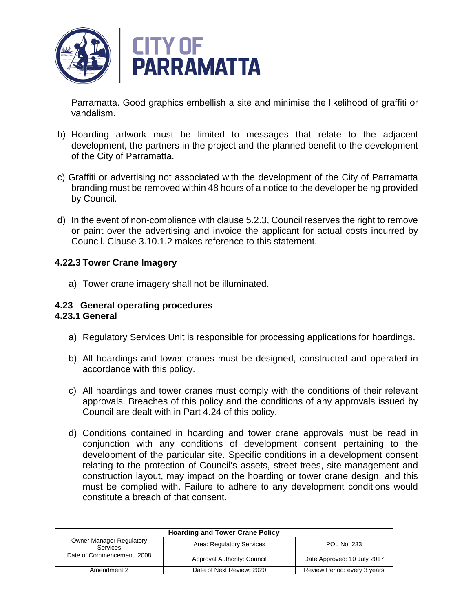

Parramatta. Good graphics embellish a site and minimise the likelihood of graffiti or vandalism.

- b) Hoarding artwork must be limited to messages that relate to the adjacent development, the partners in the project and the planned benefit to the development of the City of Parramatta.
- c) Graffiti or advertising not associated with the development of the City of Parramatta branding must be removed within 48 hours of a notice to the developer being provided by Council.
- d) In the event of non-compliance with clause 5.2.3, Council reserves the right to remove or paint over the advertising and invoice the applicant for actual costs incurred by Council. Clause 3.10.1.2 makes reference to this statement.

### **4.22.3 Tower Crane Imagery**

a) Tower crane imagery shall not be illuminated.

### **4.23 General operating procedures**

#### **4.23.1 General**

- a) Regulatory Services Unit is responsible for processing applications for hoardings.
- b) All hoardings and tower cranes must be designed, constructed and operated in accordance with this policy.
- c) All hoardings and tower cranes must comply with the conditions of their relevant approvals. Breaches of this policy and the conditions of any approvals issued by Council are dealt with in Part 4.24 of this policy.
- d) Conditions contained in hoarding and tower crane approvals must be read in conjunction with any conditions of development consent pertaining to the development of the particular site. Specific conditions in a development consent relating to the protection of Council's assets, street trees, site management and construction layout, may impact on the hoarding or tower crane design, and this must be complied with. Failure to adhere to any development conditions would constitute a breach of that consent.

| <b>Hoarding and Tower Crane Policy</b>             |                             |                              |  |
|----------------------------------------------------|-----------------------------|------------------------------|--|
| <b>Owner Manager Regulatory</b><br><b>Services</b> | Area: Regulatory Services   | <b>POL No: 233</b>           |  |
| Date of Commencement: 2008                         | Approval Authority: Council | Date Approved: 10 July 2017  |  |
| Amendment 2                                        | Date of Next Review: 2020   | Review Period: every 3 years |  |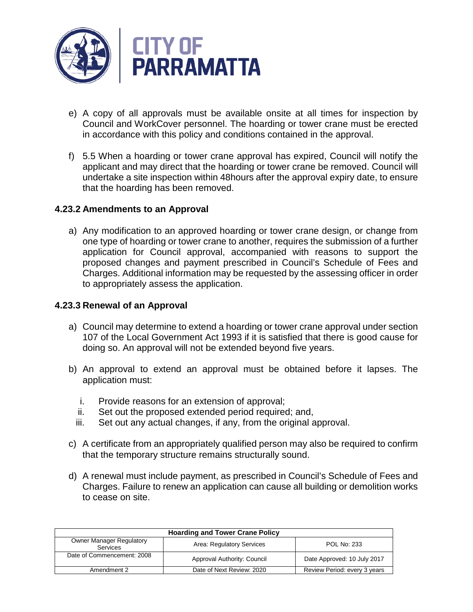

- e) A copy of all approvals must be available onsite at all times for inspection by Council and WorkCover personnel. The hoarding or tower crane must be erected in accordance with this policy and conditions contained in the approval.
- f) 5.5 When a hoarding or tower crane approval has expired, Council will notify the applicant and may direct that the hoarding or tower crane be removed. Council will undertake a site inspection within 48hours after the approval expiry date, to ensure that the hoarding has been removed.

### **4.23.2 Amendments to an Approval**

a) Any modification to an approved hoarding or tower crane design, or change from one type of hoarding or tower crane to another, requires the submission of a further application for Council approval, accompanied with reasons to support the proposed changes and payment prescribed in Council's Schedule of Fees and Charges. Additional information may be requested by the assessing officer in order to appropriately assess the application.

#### **4.23.3 Renewal of an Approval**

- a) Council may determine to extend a hoarding or tower crane approval under section 107 of the Local Government Act 1993 if it is satisfied that there is good cause for doing so. An approval will not be extended beyond five years.
- b) An approval to extend an approval must be obtained before it lapses. The application must:
	- i. Provide reasons for an extension of approval;
	- ii. Set out the proposed extended period required; and,
	- iii. Set out any actual changes, if any, from the original approval.
- c) A certificate from an appropriately qualified person may also be required to confirm that the temporary structure remains structurally sound.
- d) A renewal must include payment, as prescribed in Council's Schedule of Fees and Charges. Failure to renew an application can cause all building or demolition works to cease on site.

| <b>Hoarding and Tower Crane Policy</b>      |                             |                              |  |
|---------------------------------------------|-----------------------------|------------------------------|--|
| <b>Owner Manager Regulatory</b><br>Services | Area: Regulatory Services   | <b>POL No: 233</b>           |  |
| Date of Commencement: 2008                  | Approval Authority: Council | Date Approved: 10 July 2017  |  |
| Amendment 2                                 | Date of Next Review: 2020   | Review Period: every 3 years |  |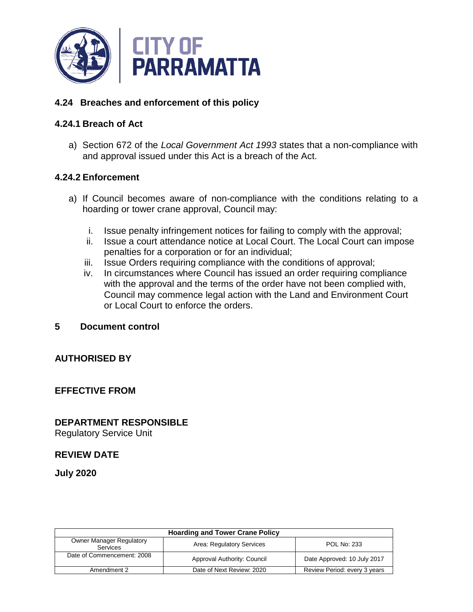

### **4.24 Breaches and enforcement of this policy**

### **4.24.1 Breach of Act**

a) Section 672 of the *Local Government Act 1993* states that a non-compliance with and approval issued under this Act is a breach of the Act.

### **4.24.2 Enforcement**

- a) If Council becomes aware of non-compliance with the conditions relating to a hoarding or tower crane approval, Council may:
	- i. Issue penalty infringement notices for failing to comply with the approval;
	- ii. Issue a court attendance notice at Local Court. The Local Court can impose penalties for a corporation or for an individual;
	- iii. Issue Orders requiring compliance with the conditions of approval;
	- iv. In circumstances where Council has issued an order requiring compliance with the approval and the terms of the order have not been complied with, Council may commence legal action with the Land and Environment Court or Local Court to enforce the orders.

#### **5 Document control**

### **AUTHORISED BY**

### **EFFECTIVE FROM**

# **DEPARTMENT RESPONSIBLE**

Regulatory Service Unit

### **REVIEW DATE**

**July 2020**

| <b>Hoarding and Tower Crane Policy</b>                                                         |                             |                              |  |
|------------------------------------------------------------------------------------------------|-----------------------------|------------------------------|--|
| <b>Owner Manager Regulatory</b><br>Area: Regulatory Services<br><b>POL No: 233</b><br>Services |                             |                              |  |
| Date of Commencement: 2008                                                                     | Approval Authority: Council | Date Approved: 10 July 2017  |  |
| Amendment 2                                                                                    | Date of Next Review: 2020   | Review Period: every 3 years |  |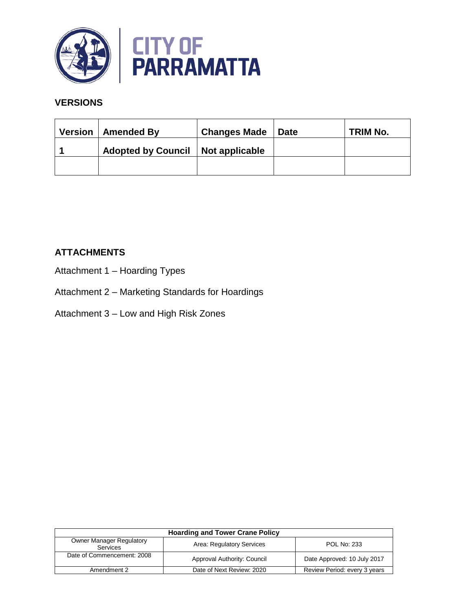

### **VERSIONS**

| <b>Version</b> | <b>Amended By</b>         | <b>Changes Made</b> | <b>Date</b> | TRIM No. |
|----------------|---------------------------|---------------------|-------------|----------|
|                | <b>Adopted by Council</b> | Not applicable      |             |          |
|                |                           |                     |             |          |

### **ATTACHMENTS**

- Attachment 1 Hoarding Types
- Attachment 2 Marketing Standards for Hoardings
- Attachment 3 Low and High Risk Zones

| <b>Hoarding and Tower Crane Policy</b>                                                                |                             |                              |  |
|-------------------------------------------------------------------------------------------------------|-----------------------------|------------------------------|--|
| <b>Owner Manager Regulatory</b><br>Area: Regulatory Services<br><b>POL No: 233</b><br><b>Services</b> |                             |                              |  |
| Date of Commencement: 2008                                                                            | Approval Authority: Council | Date Approved: 10 July 2017  |  |
| Amendment 2                                                                                           | Date of Next Review: 2020   | Review Period: every 3 years |  |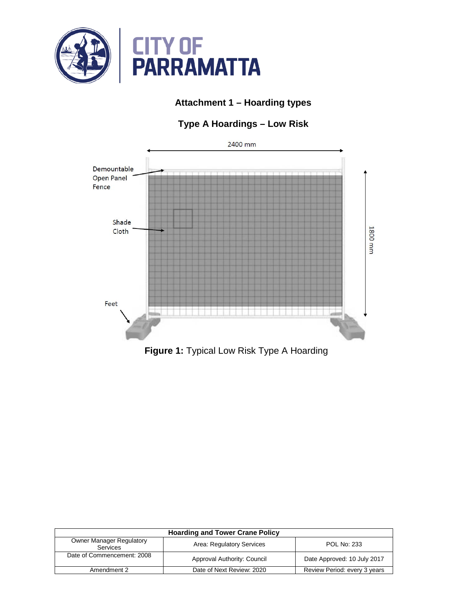

# **Attachment 1 – Hoarding types**

# **Type A Hoardings – Low Risk**



**Figure 1:** Typical Low Risk Type A Hoarding

| <b>Hoarding and Tower Crane Policy</b>                                                         |                             |                              |  |  |
|------------------------------------------------------------------------------------------------|-----------------------------|------------------------------|--|--|
| <b>Owner Manager Regulatory</b><br>Area: Regulatory Services<br><b>POL No: 233</b><br>Services |                             |                              |  |  |
| Date of Commencement: 2008                                                                     | Approval Authority: Council | Date Approved: 10 July 2017  |  |  |
| Amendment 2                                                                                    | Date of Next Review: 2020   | Review Period: every 3 years |  |  |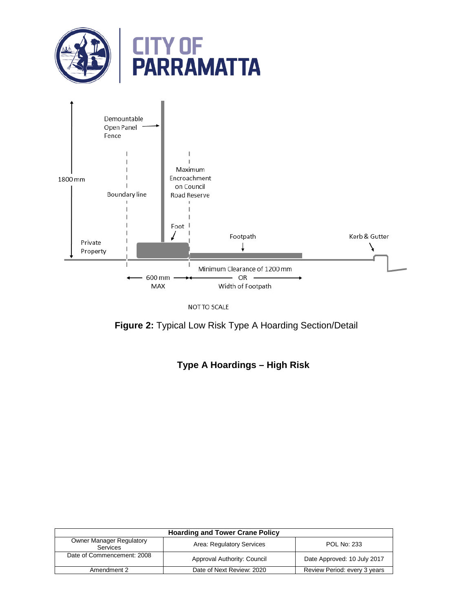

NOT TO SCALE

**Figure 2:** Typical Low Risk Type A Hoarding Section/Detail

**Type A Hoardings – High Risk**

| <b>Hoarding and Tower Crane Policy</b>                                                                |                             |                              |  |  |
|-------------------------------------------------------------------------------------------------------|-----------------------------|------------------------------|--|--|
| <b>Owner Manager Regulatory</b><br>Area: Regulatory Services<br><b>POL No: 233</b><br><b>Services</b> |                             |                              |  |  |
| Date of Commencement: 2008                                                                            | Approval Authority: Council | Date Approved: 10 July 2017  |  |  |
| Amendment 2                                                                                           | Date of Next Review: 2020   | Review Period: every 3 years |  |  |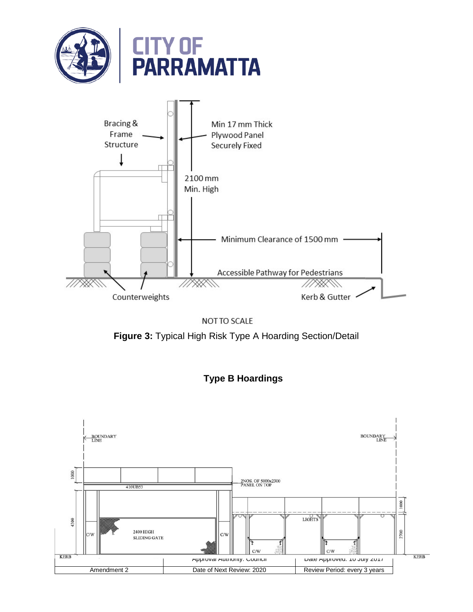







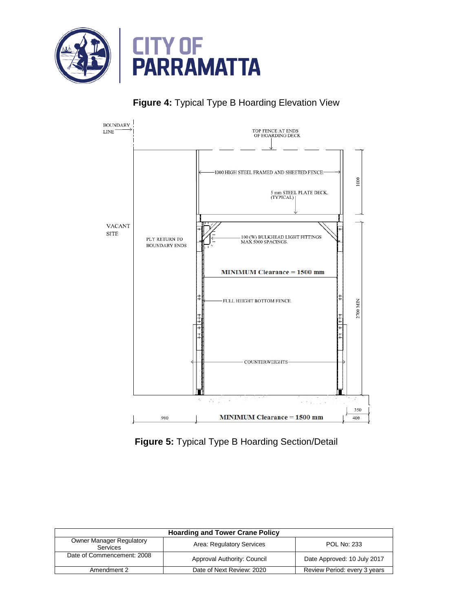

# **Figure 4:** Typical Type B Hoarding Elevation View



**Figure 5:** Typical Type B Hoarding Section/Detail

| <b>Hoarding and Tower Crane Policy</b>                                                         |                             |                              |  |
|------------------------------------------------------------------------------------------------|-----------------------------|------------------------------|--|
| <b>Owner Manager Regulatory</b><br>Area: Regulatory Services<br><b>POL No: 233</b><br>Services |                             |                              |  |
| Date of Commencement: 2008                                                                     | Approval Authority: Council | Date Approved: 10 July 2017  |  |
| Amendment 2                                                                                    | Date of Next Review: 2020   | Review Period: every 3 years |  |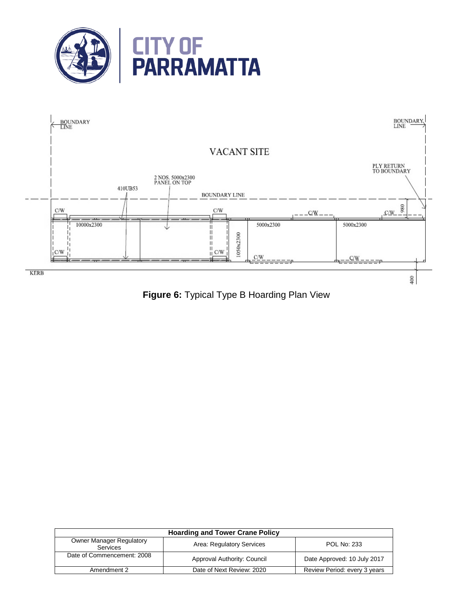



**Figure 6:** Typical Type B Hoarding Plan View

| <b>Hoarding and Tower Crane Policy</b>             |                             |                              |  |
|----------------------------------------------------|-----------------------------|------------------------------|--|
| <b>Owner Manager Regulatory</b><br><b>Services</b> | Area: Regulatory Services   | <b>POL No: 233</b>           |  |
| Date of Commencement: 2008                         | Approval Authority: Council | Date Approved: 10 July 2017  |  |
| Amendment 2                                        | Date of Next Review: 2020   | Review Period: every 3 years |  |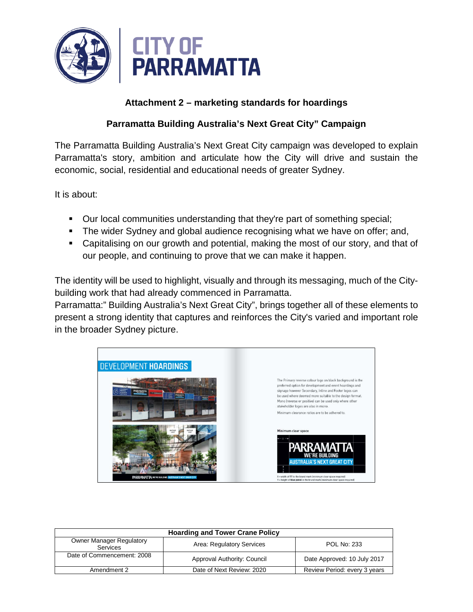

# **Attachment 2 – marketing standards for hoardings**

# **Parramatta Building Australia's Next Great City" Campaign**

The Parramatta Building Australia's Next Great City campaign was developed to explain Parramatta's story, ambition and articulate how the City will drive and sustain the economic, social, residential and educational needs of greater Sydney.

It is about:

- Our local communities understanding that they're part of something special;
- The wider Sydney and global audience recognising what we have on offer; and,
- Capitalising on our growth and potential, making the most of our story, and that of our people, and continuing to prove that we can make it happen.

The identity will be used to highlight, visually and through its messaging, much of the Citybuilding work that had already commenced in Parramatta.

Parramatta:" Building Australia's Next Great City", brings together all of these elements to present a strong identity that captures and reinforces the City's varied and important role in the broader Sydney picture.



| <b>Hoarding and Tower Crane Policy</b>                                                         |                             |                              |  |  |
|------------------------------------------------------------------------------------------------|-----------------------------|------------------------------|--|--|
| <b>Owner Manager Regulatory</b><br>Area: Regulatory Services<br><b>POL No: 233</b><br>Services |                             |                              |  |  |
| Date of Commencement: 2008                                                                     | Approval Authority: Council | Date Approved: 10 July 2017  |  |  |
| Amendment 2                                                                                    | Date of Next Review: 2020   | Review Period: every 3 years |  |  |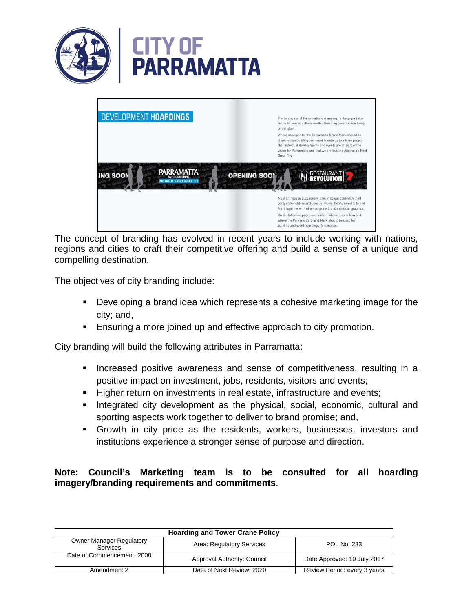



The concept of branding has evolved in recent years to include working with nations, regions and cities to craft their competitive offering and build a sense of a unique and compelling destination.

The objectives of city branding include:

- Developing a brand idea which represents a cohesive marketing image for the city; and,
- **Ensuring a more joined up and effective approach to city promotion.**

City branding will build the following attributes in Parramatta:

- **Increased positive awareness and sense of competitiveness, resulting in a** positive impact on investment, jobs, residents, visitors and events;
- **Higher return on investments in real estate, infrastructure and events;**
- Integrated city development as the physical, social, economic, cultural and sporting aspects work together to deliver to brand promise; and,
- Growth in city pride as the residents, workers, businesses, investors and institutions experience a stronger sense of purpose and direction.

### **Note: Council's Marketing team is to be consulted for all hoarding imagery/branding requirements and commitments**.

| <b>Hoarding and Tower Crane Policy</b>             |                             |                              |  |
|----------------------------------------------------|-----------------------------|------------------------------|--|
| <b>Owner Manager Regulatory</b><br><b>Services</b> | Area: Regulatory Services   | POL No: 233                  |  |
| Date of Commencement: 2008                         | Approval Authority: Council | Date Approved: 10 July 2017  |  |
| Amendment 2                                        | Date of Next Review: 2020   | Review Period: every 3 years |  |